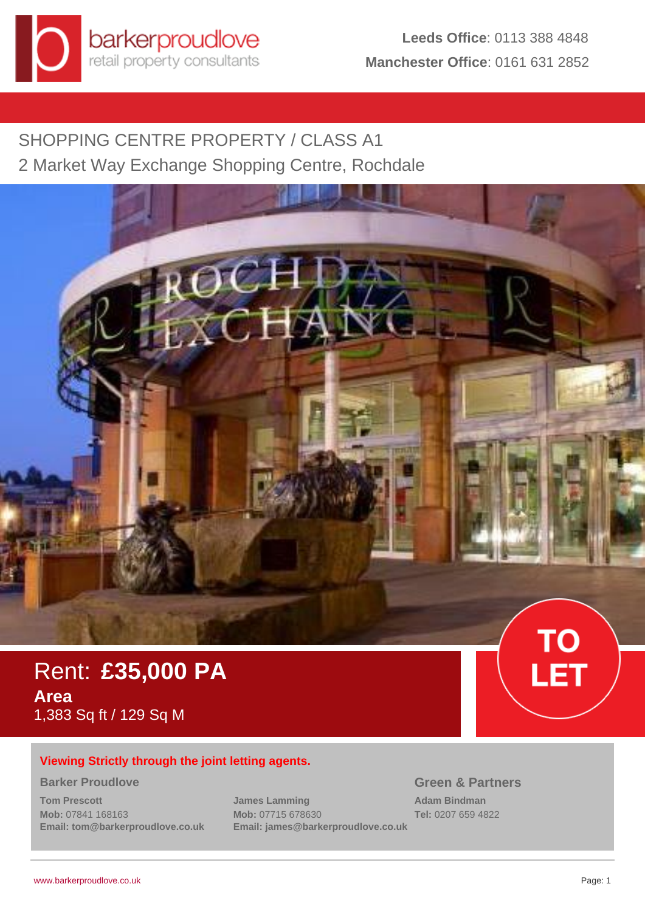

SHOPPING CENTRE PROPERTY / CLASS A1 2 Market Way Exchange Shopping Centre, Rochdale



# Rent: **£35,000 PA Area** 1,383 Sq ft / 129 Sq M

# **Viewing Strictly through the joint letting agents.**

#### **Barker Proudlove**

**Tom Prescott Mob:** 07841 168163 **Email: tom@barkerproudlove.co.uk** **James Lamming Mob:** 07715 678630 **Email: james@barkerproudlove.co.uk**

# **Green & Partners**

**Adam Bindman Tel:** 0207 659 4822 LET